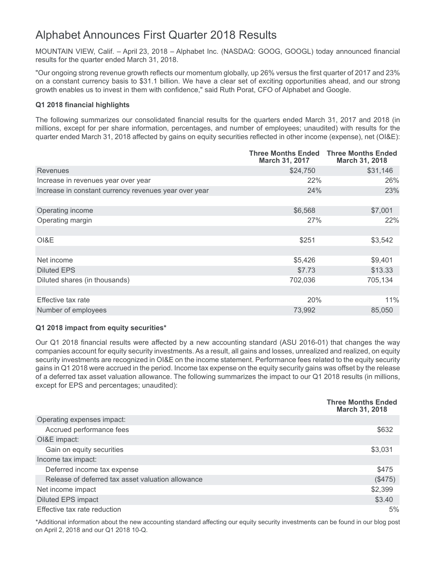# Alphabet Announces First Quarter 2018 Results

MOUNTAIN VIEW, Calif. – April 23, 2018 – Alphabet Inc. (NASDAQ: GOOG, GOOGL) today announced financial results for the quarter ended March 31, 2018.

"Our ongoing strong revenue growth reflects our momentum globally, up 26% versus the first quarter of 2017 and 23% on a constant currency basis to \$31.1 billion. We have a clear set of exciting opportunities ahead, and our strong growth enables us to invest in them with confidence," said Ruth Porat, CFO of Alphabet and Google.

## **Q1 2018 financial highlights**

The following summarizes our consolidated financial results for the quarters ended March 31, 2017 and 2018 (in millions, except for per share information, percentages, and number of employees; unaudited) with results for the quarter ended March 31, 2018 affected by gains on equity securities reflected in other income (expense), net (OI&E):

|                                                       | <b>Three Months Ended</b><br>March 31, 2017 | <b>Three Months Ended</b><br>March 31, 2018 |
|-------------------------------------------------------|---------------------------------------------|---------------------------------------------|
| Revenues                                              | \$24,750                                    | \$31,146                                    |
| Increase in revenues year over year                   | 22%                                         | 26%                                         |
| Increase in constant currency revenues year over year | 24%                                         | 23%                                         |
|                                                       |                                             |                                             |
| Operating income                                      | \$6,568                                     | \$7,001                                     |
| Operating margin                                      | 27%                                         | 22%                                         |
|                                                       |                                             |                                             |
| OI&E                                                  | \$251                                       | \$3,542                                     |
|                                                       |                                             |                                             |
| Net income                                            | \$5,426                                     | \$9,401                                     |
| <b>Diluted EPS</b>                                    | \$7.73                                      | \$13.33                                     |
| Diluted shares (in thousands)                         | 702,036                                     | 705,134                                     |
|                                                       |                                             |                                             |
| Effective tax rate                                    | 20%                                         | 11%                                         |
| Number of employees                                   | 73,992                                      | 85,050                                      |

# **Q1 2018 impact from equity securities\***

Our Q1 2018 financial results were affected by a new accounting standard (ASU 2016-01) that changes the way companies account for equity security investments. As a result, all gains and losses, unrealized and realized, on equity security investments are recognized in OI&E on the income statement. Performance fees related to the equity security gains in Q1 2018 were accrued in the period. Income tax expense on the equity security gains was offset by the release of a deferred tax asset valuation allowance. The following summarizes the impact to our Q1 2018 results (in millions, except for EPS and percentages; unaudited):

|                                                   | <b>Three Months Ended</b><br>March 31, 2018 |
|---------------------------------------------------|---------------------------------------------|
| Operating expenses impact:                        |                                             |
| Accrued performance fees                          | \$632                                       |
| OI&E impact:                                      |                                             |
| Gain on equity securities                         | \$3,031                                     |
| Income tax impact:                                |                                             |
| Deferred income tax expense                       | \$475                                       |
| Release of deferred tax asset valuation allowance | (\$475)                                     |
| Net income impact                                 | \$2,399                                     |
| <b>Diluted EPS impact</b>                         | \$3.40                                      |
| Effective tax rate reduction                      | 5%                                          |

\*Additional information about the new accounting standard affecting our equity security investments can be found in our blog post on April 2, 2018 and our Q1 2018 10-Q.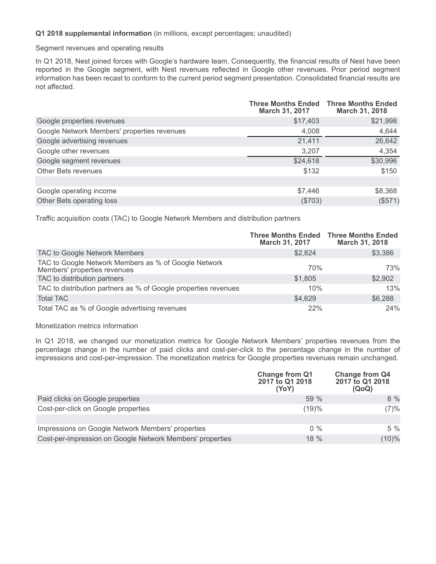### **Q1 2018 supplemental information** (in millions, except percentages; unaudited)

Segment revenues and operating results

In Q1 2018, Nest joined forces with Google's hardware team. Consequently, the financial results of Nest have been reported in the Google segment, with Nest revenues reflected in Google other revenues. Prior period segment information has been recast to conform to the current period segment presentation. Consolidated financial results are not affected.

|                                             | <b>Three Months Ended</b><br>March 31, 2017 | <b>Three Months Ended</b><br><b>March 31, 2018</b> |
|---------------------------------------------|---------------------------------------------|----------------------------------------------------|
| Google properties revenues                  | \$17,403                                    | \$21,998                                           |
| Google Network Members' properties revenues | 4,008                                       | 4,644                                              |
| Google advertising revenues                 | 21,411                                      | 26,642                                             |
| Google other revenues                       | 3,207                                       | 4,354                                              |
| Google segment revenues                     | \$24,618                                    | \$30,996                                           |
| Other Bets revenues                         | \$132                                       | \$150                                              |
|                                             |                                             |                                                    |
| Google operating income                     | \$7,446                                     | \$8,368                                            |
| Other Bets operating loss                   | (\$703)                                     | (\$571)                                            |

Traffic acquisition costs (TAC) to Google Network Members and distribution partners

|                                                                                      | <b>Three Months Ended Three Months Ended</b><br>March 31, 2017 | March 31, 2018 |
|--------------------------------------------------------------------------------------|----------------------------------------------------------------|----------------|
| TAC to Google Network Members                                                        | \$2,824                                                        | \$3,386        |
| TAC to Google Network Members as % of Google Network<br>Members' properties revenues | 70%                                                            | 73%            |
| TAC to distribution partners                                                         | \$1,805                                                        | \$2,902        |
| TAC to distribution partners as % of Google properties revenues                      | 10%                                                            | 13%            |
| <b>Total TAC</b>                                                                     | \$4,629                                                        | \$6,288        |
| Total TAC as % of Google advertising revenues                                        | 22%                                                            | 24%            |

### Monetization metrics information

In Q1 2018, we changed our monetization metrics for Google Network Members' properties revenues from the percentage change in the number of paid clicks and cost-per-click to the percentage change in the number of impressions and cost-per-impression. The monetization metrics for Google properties revenues remain unchanged.

|                                                           | <b>Change from Q1</b><br>2017 to Q1 2018<br>(YoY) | <b>Change from Q4</b><br>2017 to Q1 2018<br>(QoQ) |
|-----------------------------------------------------------|---------------------------------------------------|---------------------------------------------------|
| Paid clicks on Google properties                          | 59%                                               | $8\%$                                             |
| Cost-per-click on Google properties                       | (19)%                                             | (7)%                                              |
|                                                           |                                                   |                                                   |
| Impressions on Google Network Members' properties         | $0\%$                                             | $5\%$                                             |
| Cost-per-impression on Google Network Members' properties | $18\%$                                            | $(10)\%$                                          |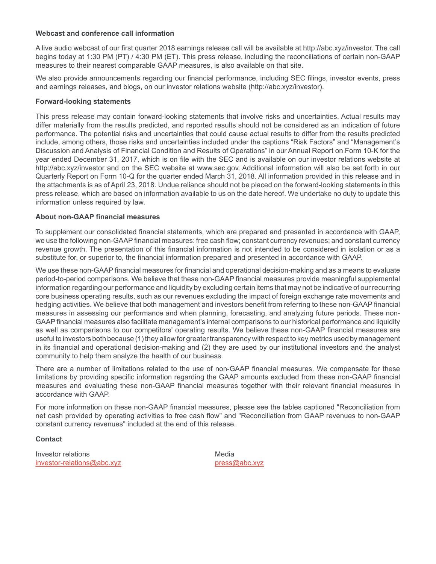### **Webcast and conference call information**

A live audio webcast of our first quarter 2018 earnings release call will be available at http://abc.xyz/investor. The call begins today at 1:30 PM (PT) / 4:30 PM (ET). This press release, including the reconciliations of certain non-GAAP measures to their nearest comparable GAAP measures, is also available on that site.

We also provide announcements regarding our financial performance, including SEC filings, investor events, press and earnings releases, and blogs, on our investor relations website (http://abc.xyz/investor).

### **Forward-looking statements**

This press release may contain forward-looking statements that involve risks and uncertainties. Actual results may differ materially from the results predicted, and reported results should not be considered as an indication of future performance. The potential risks and uncertainties that could cause actual results to differ from the results predicted include, among others, those risks and uncertainties included under the captions "Risk Factors" and "Management's Discussion and Analysis of Financial Condition and Results of Operations" in our Annual Report on Form 10-K for the year ended December 31, 2017, which is on file with the SEC and is available on our investor relations website at http://abc.xyz/investor and on the SEC website at www.sec.gov. Additional information will also be set forth in our Quarterly Report on Form 10-Q for the quarter ended March 31, 2018. All information provided in this release and in the attachments is as of April 23, 2018. Undue reliance should not be placed on the forward-looking statements in this press release, which are based on information available to us on the date hereof. We undertake no duty to update this information unless required by law.

### **About non-GAAP financial measures**

To supplement our consolidated financial statements, which are prepared and presented in accordance with GAAP, we use the following non-GAAP financial measures: free cash flow; constant currency revenues; and constant currency revenue growth. The presentation of this financial information is not intended to be considered in isolation or as a substitute for, or superior to, the financial information prepared and presented in accordance with GAAP.

We use these non-GAAP financial measures for financial and operational decision-making and as a means to evaluate period-to-period comparisons. We believe that these non-GAAP financial measures provide meaningful supplemental information regarding our performance and liquidity by excluding certain items that may not be indicative of our recurring core business operating results, such as our revenues excluding the impact of foreign exchange rate movements and hedging activities. We believe that both management and investors benefit from referring to these non-GAAP financial measures in assessing our performance and when planning, forecasting, and analyzing future periods. These non-GAAP financial measures also facilitate management's internal comparisons to our historical performance and liquidity as well as comparisons to our competitors' operating results. We believe these non-GAAP financial measures are useful to investors both because (1) they allow for greater transparency with respect to key metrics used by management in its financial and operational decision-making and (2) they are used by our institutional investors and the analyst community to help them analyze the health of our business.

There are a number of limitations related to the use of non-GAAP financial measures. We compensate for these limitations by providing specific information regarding the GAAP amounts excluded from these non-GAAP financial measures and evaluating these non-GAAP financial measures together with their relevant financial measures in accordance with GAAP.

For more information on these non-GAAP financial measures, please see the tables captioned "Reconciliation from net cash provided by operating activities to free cash flow" and "Reconciliation from GAAP revenues to non-GAAP constant currency revenues" included at the end of this release.

# **Contact**

Investor relations and the matter of the Media investor-relations@abc.xyz press@abc.xyz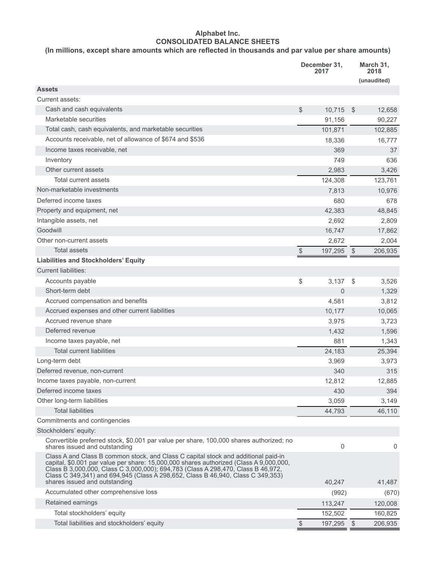# **Alphabet Inc. CONSOLIDATED BALANCE SHEETS**

# **(In millions, except share amounts which are reflected in thousands and par value per share amounts)**

|                                                                                                                                                                                                                                                                                                                                                                                      |               | December 31,<br>2017 |            | March 31,<br>2018<br>(unaudited) |  |
|--------------------------------------------------------------------------------------------------------------------------------------------------------------------------------------------------------------------------------------------------------------------------------------------------------------------------------------------------------------------------------------|---------------|----------------------|------------|----------------------------------|--|
| <b>Assets</b>                                                                                                                                                                                                                                                                                                                                                                        |               |                      |            |                                  |  |
| Current assets:                                                                                                                                                                                                                                                                                                                                                                      |               |                      |            |                                  |  |
| Cash and cash equivalents                                                                                                                                                                                                                                                                                                                                                            | $\mathcal{L}$ | 10,715               | \$         | 12,658                           |  |
| Marketable securities                                                                                                                                                                                                                                                                                                                                                                |               | 91,156               |            | 90,227                           |  |
| Total cash, cash equivalents, and marketable securities                                                                                                                                                                                                                                                                                                                              |               | 101,871              |            | 102,885                          |  |
| Accounts receivable, net of allowance of \$674 and \$536                                                                                                                                                                                                                                                                                                                             |               | 18,336               |            | 16,777                           |  |
| Income taxes receivable, net                                                                                                                                                                                                                                                                                                                                                         |               | 369                  |            | 37                               |  |
| Inventory                                                                                                                                                                                                                                                                                                                                                                            |               | 749                  |            | 636                              |  |
| Other current assets                                                                                                                                                                                                                                                                                                                                                                 |               | 2,983                |            | 3,426                            |  |
| <b>Total current assets</b>                                                                                                                                                                                                                                                                                                                                                          |               | 124,308              |            | 123,761                          |  |
| Non-marketable investments                                                                                                                                                                                                                                                                                                                                                           |               | 7,813                |            | 10,976                           |  |
| Deferred income taxes                                                                                                                                                                                                                                                                                                                                                                |               | 680                  |            | 678                              |  |
| Property and equipment, net                                                                                                                                                                                                                                                                                                                                                          |               | 42,383               |            | 48,845                           |  |
| Intangible assets, net                                                                                                                                                                                                                                                                                                                                                               |               | 2,692                |            | 2,809                            |  |
| Goodwill                                                                                                                                                                                                                                                                                                                                                                             |               | 16,747               |            | 17,862                           |  |
| Other non-current assets                                                                                                                                                                                                                                                                                                                                                             |               | 2,672                |            | 2,004                            |  |
| <b>Total assets</b>                                                                                                                                                                                                                                                                                                                                                                  | $\$\$         | 197,295              | $\sqrt{2}$ | 206,935                          |  |
| <b>Liabilities and Stockholders' Equity</b>                                                                                                                                                                                                                                                                                                                                          |               |                      |            |                                  |  |
| <b>Current liabilities:</b>                                                                                                                                                                                                                                                                                                                                                          |               |                      |            |                                  |  |
| Accounts payable                                                                                                                                                                                                                                                                                                                                                                     | \$            | 3,137                | \$         | 3,526                            |  |
| Short-term debt                                                                                                                                                                                                                                                                                                                                                                      |               | 0                    |            | 1,329                            |  |
| Accrued compensation and benefits                                                                                                                                                                                                                                                                                                                                                    |               | 4,581                |            | 3,812                            |  |
| Accrued expenses and other current liabilities                                                                                                                                                                                                                                                                                                                                       |               | 10,177               |            | 10,065                           |  |
| Accrued revenue share                                                                                                                                                                                                                                                                                                                                                                |               | 3,975                |            | 3,723                            |  |
| Deferred revenue                                                                                                                                                                                                                                                                                                                                                                     |               | 1,432                |            | 1,596                            |  |
| Income taxes payable, net                                                                                                                                                                                                                                                                                                                                                            |               | 881                  |            | 1,343                            |  |
| <b>Total current liabilities</b>                                                                                                                                                                                                                                                                                                                                                     |               | 24,183               |            | 25,394                           |  |
| Long-term debt                                                                                                                                                                                                                                                                                                                                                                       |               | 3,969                |            | 3,973                            |  |
| Deferred revenue, non-current                                                                                                                                                                                                                                                                                                                                                        |               | 340                  |            | 315                              |  |
| Income taxes payable, non-current                                                                                                                                                                                                                                                                                                                                                    |               | 12,812               |            | 12,885                           |  |
| Deferred income taxes                                                                                                                                                                                                                                                                                                                                                                |               | 430                  |            | 394                              |  |
| Other long-term liabilities                                                                                                                                                                                                                                                                                                                                                          |               | 3,059                |            | 3,149                            |  |
| <b>Total liabilities</b>                                                                                                                                                                                                                                                                                                                                                             |               | 44,793               |            | 46,110                           |  |
| Commitments and contingencies                                                                                                                                                                                                                                                                                                                                                        |               |                      |            |                                  |  |
| Stockholders' equity:                                                                                                                                                                                                                                                                                                                                                                |               |                      |            |                                  |  |
| Convertible preferred stock, \$0.001 par value per share, 100,000 shares authorized; no<br>shares issued and outstanding                                                                                                                                                                                                                                                             |               | 0                    |            | 0                                |  |
| Class A and Class B common stock, and Class C capital stock and additional paid-in<br>capital, \$0.001 par value per share: 15,000,000 shares authorized (Class A 9,000,000,<br>Class B 3,000,000, Class C 3,000,000); 694,783 (Class A 298,470, Class B 46,972,<br>Class C 349,341) and 694,945 (Class A 298,652, Class B 46,940, Class C 349,353)<br>shares issued and outstanding |               | 40,247               |            | 41,487                           |  |
| Accumulated other comprehensive loss                                                                                                                                                                                                                                                                                                                                                 |               | (992)                |            | (670)                            |  |
| Retained earnings                                                                                                                                                                                                                                                                                                                                                                    |               | 113,247              |            | 120,008                          |  |
| Total stockholders' equity                                                                                                                                                                                                                                                                                                                                                           |               | 152,502              |            | 160,825                          |  |
| Total liabilities and stockholders' equity                                                                                                                                                                                                                                                                                                                                           | $\frac{1}{2}$ | 197,295              | \$         | 206,935                          |  |
|                                                                                                                                                                                                                                                                                                                                                                                      |               |                      |            |                                  |  |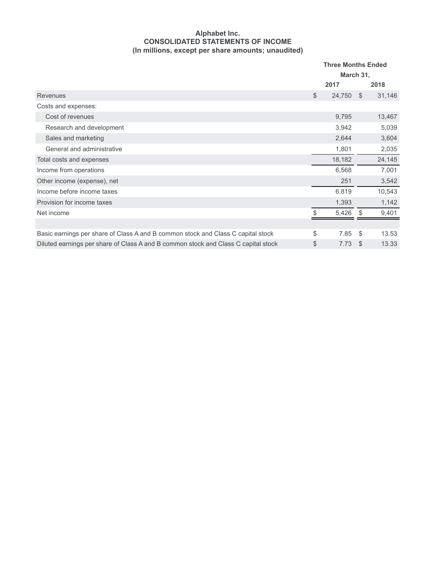### **Alphabet Inc. CONSOLIDATED STATEMENTS OF INCOME (In millions, except per share amounts; unaudited)**

|                                                                                    | <b>Three Months Ended</b><br>March 31, |        |      |        |
|------------------------------------------------------------------------------------|----------------------------------------|--------|------|--------|
|                                                                                    |                                        | 2017   |      | 2018   |
| Revenues                                                                           | \$                                     | 24,750 | - \$ | 31,146 |
| Costs and expenses:                                                                |                                        |        |      |        |
| Cost of revenues                                                                   |                                        | 9,795  |      | 13,467 |
| Research and development                                                           |                                        | 3,942  |      | 5,039  |
| Sales and marketing                                                                |                                        | 2,644  |      | 3,604  |
| General and administrative                                                         |                                        | 1,801  |      | 2,035  |
| Total costs and expenses                                                           |                                        | 18,182 |      | 24,145 |
| Income from operations                                                             |                                        | 6,568  |      | 7,001  |
| Other income (expense), net                                                        |                                        | 251    |      | 3,542  |
| Income before income taxes                                                         |                                        | 6,819  |      | 10,543 |
| Provision for income taxes                                                         |                                        | 1,393  |      | 1,142  |
| Net income                                                                         |                                        | 5,426  | - \$ | 9,401  |
|                                                                                    |                                        |        |      |        |
| Basic earnings per share of Class A and B common stock and Class C capital stock   | \$                                     | 7.85   | \$   | 13.53  |
| Diluted earnings per share of Class A and B common stock and Class C capital stock | \$                                     | 7.73   | \$   | 13.33  |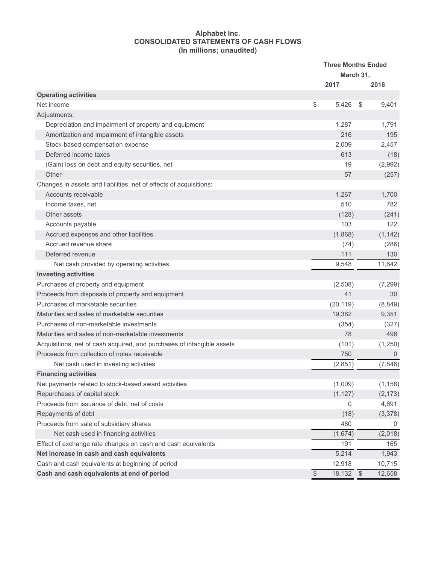### **Alphabet Inc. CONSOLIDATED STATEMENTS OF CASH FLOWS (In millions; unaudited)**

|                                                                        | <b>Three Months Ended</b><br>March 31, |                      |  |
|------------------------------------------------------------------------|----------------------------------------|----------------------|--|
|                                                                        | 2017                                   | 2018                 |  |
| <b>Operating activities</b>                                            |                                        |                      |  |
| Net income                                                             | \$<br>5.426                            | \$<br>9,401          |  |
| Adjustments:                                                           |                                        |                      |  |
| Depreciation and impairment of property and equipment                  | 1,287                                  | 1,791                |  |
| Amortization and impairment of intangible assets                       | 216                                    | 195                  |  |
| Stock-based compensation expense                                       | 2,009                                  | 2,457                |  |
| Deferred income taxes                                                  | 613                                    | (18)                 |  |
| (Gain) loss on debt and equity securities, net                         | 19                                     | (2,992)              |  |
| Other                                                                  | 57                                     | (257)                |  |
| Changes in assets and liabilities, net of effects of acquisitions:     |                                        |                      |  |
| Accounts receivable                                                    | 1,267                                  | 1,700                |  |
| Income taxes, net                                                      | 510                                    | 782                  |  |
| Other assets                                                           | (128)                                  | (241)                |  |
| Accounts payable                                                       | 103                                    | 122                  |  |
| Accrued expenses and other liabilities                                 | (1,868)                                | (1, 142)             |  |
| Accrued revenue share                                                  | (74)                                   | (286)                |  |
| Deferred revenue                                                       | 111                                    | 130                  |  |
| Net cash provided by operating activities                              | 9,548                                  | 11,642               |  |
| <b>Investing activities</b>                                            |                                        |                      |  |
| Purchases of property and equipment                                    | (2,508)                                | (7, 299)             |  |
| Proceeds from disposals of property and equipment                      | 41                                     | 30                   |  |
| Purchases of marketable securities                                     | (20, 119)                              | (8, 849)             |  |
| Maturities and sales of marketable securities                          | 19,362                                 | 9,351                |  |
| Purchases of non-marketable investments                                | (354)                                  | (327)                |  |
| Maturities and sales of non-marketable investments                     | 78                                     | 498                  |  |
| Acquisitions, net of cash acquired, and purchases of intangible assets | (101)                                  | (1,250)              |  |
| Proceeds from collection of notes receivable                           | 750                                    | $\mathbf 0$          |  |
| Net cash used in investing activities                                  | (2,851)                                | (7, 846)             |  |
| <b>Financing activities</b>                                            |                                        |                      |  |
| Net payments related to stock-based award activities                   | (1,009)                                | (1, 158)             |  |
| Repurchases of capital stock                                           | (1, 127)                               | (2, 173)             |  |
| Proceeds from issuance of debt, net of costs                           | 0                                      | 4,691                |  |
| Repayments of debt                                                     | (18)                                   | (3,378)              |  |
| Proceeds from sale of subsidiary shares                                | 480                                    | 0                    |  |
| Net cash used in financing activities                                  | (1,674)                                | (2,018)              |  |
| Effect of exchange rate changes on cash and cash equivalents           | 191                                    | 165                  |  |
| Net increase in cash and cash equivalents                              | 5,214                                  | 1,943                |  |
| Cash and cash equivalents at beginning of period                       | 12,918                                 | 10,715               |  |
| Cash and cash equivalents at end of period                             | $\$\$<br>18,132                        | $\sqrt{3}$<br>12,658 |  |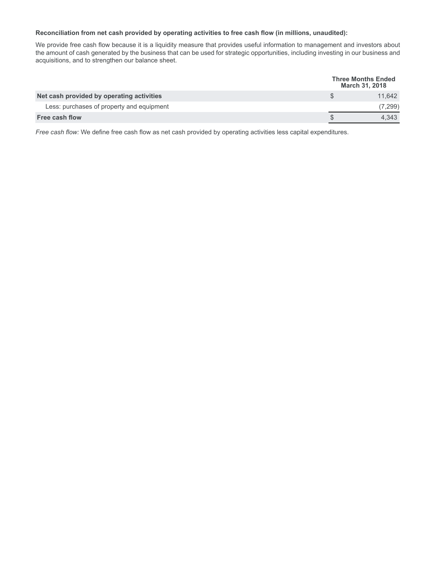#### **Reconciliation from net cash provided by operating activities to free cash flow (in millions, unaudited):**

We provide free cash flow because it is a liquidity measure that provides useful information to management and investors about the amount of cash generated by the business that can be used for strategic opportunities, including investing in our business and acquisitions, and to strengthen our balance sheet.

|                                           |  | <b>Three Months Ended</b><br><b>March 31, 2018</b> |
|-------------------------------------------|--|----------------------------------------------------|
| Net cash provided by operating activities |  | 11.642                                             |
| Less: purchases of property and equipment |  | 7,299                                              |
| <b>Free cash flow</b>                     |  | 4.343                                              |

*Free cash flow:* We define free cash flow as net cash provided by operating activities less capital expenditures.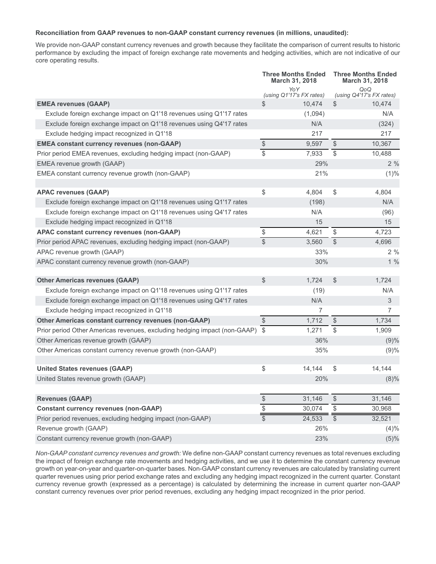#### **Reconciliation from GAAP revenues to non-GAAP constant currency revenues (in millions, unaudited):**

We provide non-GAAP constant currency revenues and growth because they facilitate the comparison of current results to historic performance by excluding the impact of foreign exchange rate movements and hedging activities, which are not indicative of our core operating results.

|                                                                              | <b>Three Months Ended</b><br><b>March 31, 2018</b> |                                 | <b>Three Months Ended</b><br><b>March 31, 2018</b> |                                 |  |
|------------------------------------------------------------------------------|----------------------------------------------------|---------------------------------|----------------------------------------------------|---------------------------------|--|
|                                                                              |                                                    | YoY<br>(using Q1'17's FX rates) |                                                    | QoQ<br>(using Q4'17's FX rates) |  |
| <b>EMEA revenues (GAAP)</b>                                                  | $\mathbb{S}$                                       | 10,474                          | \$                                                 | 10,474                          |  |
| Exclude foreign exchange impact on Q1'18 revenues using Q1'17 rates          |                                                    | (1,094)                         |                                                    | N/A                             |  |
| Exclude foreign exchange impact on Q1'18 revenues using Q4'17 rates          |                                                    | N/A                             |                                                    | (324)                           |  |
| Exclude hedging impact recognized in Q1'18                                   |                                                    | 217                             |                                                    | 217                             |  |
| <b>EMEA constant currency revenues (non-GAAP)</b>                            | $\$\$                                              | 9,597                           | $\frac{1}{2}$                                      | 10,367                          |  |
| Prior period EMEA revenues, excluding hedging impact (non-GAAP)              | $\mathbb S$                                        | 7,933                           | \$                                                 | 10,488                          |  |
| EMEA revenue growth (GAAP)                                                   |                                                    | 29%                             |                                                    | 2%                              |  |
| EMEA constant currency revenue growth (non-GAAP)                             |                                                    | 21%                             |                                                    | (1)%                            |  |
| <b>APAC revenues (GAAP)</b>                                                  | \$                                                 | 4,804                           | \$                                                 | 4,804                           |  |
| Exclude foreign exchange impact on Q1'18 revenues using Q1'17 rates          |                                                    | (198)                           |                                                    | N/A                             |  |
| Exclude foreign exchange impact on Q1'18 revenues using Q4'17 rates          |                                                    | N/A                             |                                                    | (96)                            |  |
| Exclude hedging impact recognized in Q1'18                                   |                                                    | 15                              |                                                    | 15                              |  |
| <b>APAC constant currency revenues (non-GAAP)</b>                            | \$                                                 | 4,621                           | \$                                                 | 4,723                           |  |
| Prior period APAC revenues, excluding hedging impact (non-GAAP)              | $\overline{\mathbb{S}}$                            | 3,560                           | $\mathcal{L}$                                      | 4.696                           |  |
| APAC revenue growth (GAAP)                                                   |                                                    | 33%                             |                                                    | 2%                              |  |
| APAC constant currency revenue growth (non-GAAP)                             |                                                    | 30%                             |                                                    | 1%                              |  |
| <b>Other Americas revenues (GAAP)</b>                                        | $\mathbb{S}$                                       | 1,724                           | \$                                                 | 1,724                           |  |
| Exclude foreign exchange impact on Q1'18 revenues using Q1'17 rates          |                                                    | (19)                            |                                                    | N/A                             |  |
| Exclude foreign exchange impact on Q1'18 revenues using Q4'17 rates          |                                                    | N/A                             |                                                    | 3                               |  |
| Exclude hedging impact recognized in Q1'18                                   |                                                    | 7                               |                                                    | 7                               |  |
| Other Americas constant currency revenues (non-GAAP)                         | \$                                                 | 1,712                           | \$                                                 | 1,734                           |  |
| Prior period Other Americas revenues, excluding hedging impact (non-GAAP) \$ |                                                    | 1,271                           | $\$\$                                              | 1,909                           |  |
| Other Americas revenue growth (GAAP)                                         |                                                    | 36%                             |                                                    | (9)%                            |  |
| Other Americas constant currency revenue growth (non-GAAP)                   |                                                    | 35%                             |                                                    | (9)%                            |  |
| <b>United States revenues (GAAP)</b>                                         | \$                                                 | 14,144                          | \$                                                 | 14,144                          |  |
| United States revenue growth (GAAP)                                          |                                                    | 20%                             |                                                    | $(8)\%$                         |  |
| <b>Revenues (GAAP)</b>                                                       | $\, \, \raisebox{12pt}{$\scriptstyle \$}$          | 31,146                          | $\frac{1}{2}$                                      | 31,146                          |  |
| <b>Constant currency revenues (non-GAAP)</b>                                 | $\, \, \raisebox{12pt}{$\scriptstyle \$}$          | 30,074                          | \$                                                 | 30,968                          |  |
| Prior period revenues, excluding hedging impact (non-GAAP)                   |                                                    | 24,533                          | $\overline{\$}$                                    | 32,521                          |  |
| Revenue growth (GAAP)                                                        |                                                    | 26%                             |                                                    | (4)%                            |  |
| Constant currency revenue growth (non-GAAP)                                  |                                                    | 23%                             |                                                    | (5)%                            |  |

*Non-GAAP constant currency revenues and growth:* We define non-GAAP constant currency revenues as total revenues excluding the impact of foreign exchange rate movements and hedging activities, and we use it to determine the constant currency revenue growth on year-on-year and quarter-on-quarter bases. Non-GAAP constant currency revenues are calculated by translating current quarter revenues using prior period exchange rates and excluding any hedging impact recognized in the current quarter. Constant currency revenue growth (expressed as a percentage) is calculated by determining the increase in current quarter non-GAAP constant currency revenues over prior period revenues, excluding any hedging impact recognized in the prior period.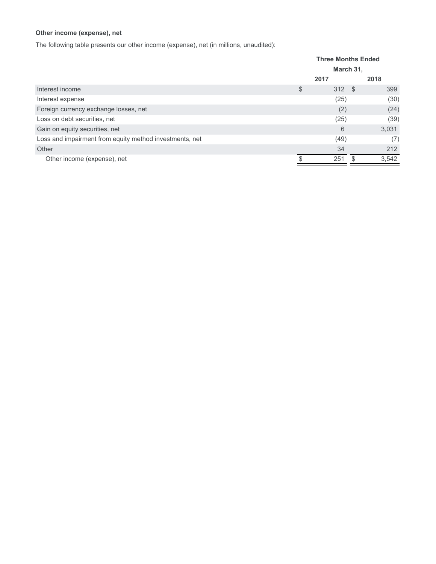## **Other income (expense), net**

The following table presents our other income (expense), net (in millions, unaudited):

|                                                         | <b>Three Months Ended</b> |          |     |       |
|---------------------------------------------------------|---------------------------|----------|-----|-------|
|                                                         | March 31,                 |          |     |       |
|                                                         |                           | 2017     |     | 2018  |
| Interest income                                         | \$                        | $312$ \$ |     | 399   |
| Interest expense                                        |                           | (25)     |     | (30)  |
| Foreign currency exchange losses, net                   |                           | (2)      |     | (24)  |
| Loss on debt securities, net                            |                           | (25)     |     | (39)  |
| Gain on equity securities, net                          |                           | 6        |     | 3,031 |
| Loss and impairment from equity method investments, net |                           | (49)     |     | (7)   |
| Other                                                   |                           | 34       |     | 212   |
| Other income (expense), net                             |                           | 251      | \$. | 3,542 |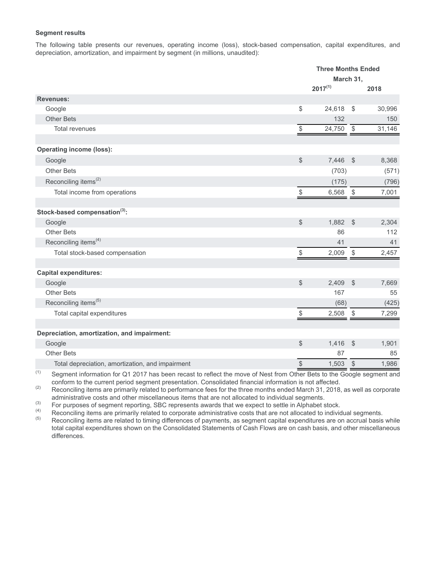### **Segment results**

The following table presents our revenues, operating income (loss), stock-based compensation, capital expenditures, and depreciation, amortization, and impairment by segment (in millions, unaudited):

|                                                                      |                                                               | <b>Three Months Ended</b> |                         |        |
|----------------------------------------------------------------------|---------------------------------------------------------------|---------------------------|-------------------------|--------|
|                                                                      |                                                               | March 31,                 |                         |        |
|                                                                      |                                                               | $2017^{(1)}$              |                         | 2018   |
| <b>Revenues:</b>                                                     |                                                               |                           |                         |        |
| Google                                                               | \$                                                            | 24,618                    | \$                      | 30,996 |
| <b>Other Bets</b>                                                    |                                                               | 132                       |                         | 150    |
| Total revenues                                                       | \$                                                            | 24,750                    | $\sqrt[6]{\frac{1}{2}}$ | 31,146 |
| <b>Operating income (loss):</b>                                      |                                                               |                           |                         |        |
| Google                                                               | $\frac{1}{2}$                                                 | 7,446                     | $\sqrt[6]{3}$           | 8,368  |
| <b>Other Bets</b>                                                    |                                                               | (703)                     |                         | (571)  |
| Reconciling items <sup>(2)</sup>                                     |                                                               | (175)                     |                         | (796)  |
| Total income from operations                                         | \$                                                            | 6,568                     | $\sqrt[6]{\frac{1}{2}}$ | 7,001  |
| Stock-based compensation(3):                                         |                                                               |                           |                         |        |
| Google                                                               | $\frac{1}{2}$                                                 | 1,882                     | $\sqrt[6]{\frac{1}{2}}$ | 2,304  |
| <b>Other Bets</b>                                                    |                                                               | 86                        |                         | 112    |
| Reconciling items <sup>(4)</sup>                                     |                                                               | 41                        |                         | 41     |
| Total stock-based compensation                                       | \$                                                            | 2,009                     | $\sqrt{2}$              | 2,457  |
| <b>Capital expenditures:</b>                                         |                                                               |                           |                         |        |
| Google                                                               | $\frac{1}{2}$                                                 | 2,409                     | $\sqrt{2}$              | 7,669  |
| <b>Other Bets</b>                                                    |                                                               | 167                       |                         | 55     |
| Reconciling items <sup>(5)</sup>                                     |                                                               | (68)                      |                         | (425)  |
| Total capital expenditures                                           | \$                                                            | 2,508                     | \$                      | 7,299  |
|                                                                      |                                                               |                           |                         |        |
| Depreciation, amortization, and impairment:<br>Google                | $\frac{1}{2}$                                                 | 1,416                     | $\sqrt[6]{3}$           | 1,901  |
| <b>Other Bets</b>                                                    |                                                               | 87                        |                         | 85     |
| Total depreciation, amortization, and impairment                     |                                                               | 1,503                     |                         | 1,986  |
| (1)<br>$O =$ and $\frac{1}{2}$ information for $O$ 4.004.7 km s km s | $\, \, \raisebox{12pt}{$\scriptstyle \circ$}$<br><sub>D</sub> |                           | \$                      |        |

 $(1)$  Segment information for Q1 2017 has been recast to reflect the move of Nest from Other Bets to the Google segment and conform to the current period segment presentation. Consolidated financial information is not affected.

(2) Reconciling items are primarily related to performance fees for the three months ended March 31, 2018, as well as corporate administrative costs and other miscellaneous items that are not allocated to individual segments.

(3) For purposes of segment reporting, SBC represents awards that we expect to settle in Alphabet stock.<br>Reconciling items are primarily related to corporate administrative costs that are not allocated to individual

 $(4)$  Reconciling items are primarily related to corporate administrative costs that are not allocated to individual segments.<br>
Reconciling items are related to timing differences of payments, as segment capital expenditu

Reconciling items are related to timing differences of payments, as segment capital expenditures are on accrual basis while total capital expenditures shown on the Consolidated Statements of Cash Flows are on cash basis, and other miscellaneous differences.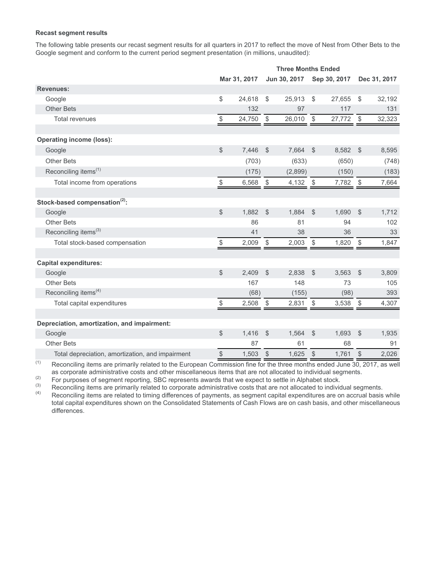### **Recast segment results**

The following table presents our recast segment results for all quarters in 2017 to reflect the move of Nest from Other Bets to the Google segment and conform to the current period segment presentation (in millions, unaudited):

|                                                  |                                               | <b>Three Months Ended</b> |                         |              |                         |              |                         |              |
|--------------------------------------------------|-----------------------------------------------|---------------------------|-------------------------|--------------|-------------------------|--------------|-------------------------|--------------|
|                                                  |                                               | Mar 31, 2017              |                         | Jun 30, 2017 |                         | Sep 30, 2017 |                         | Dec 31, 2017 |
| <b>Revenues:</b>                                 |                                               |                           |                         |              |                         |              |                         |              |
| Google                                           | \$                                            | 24,618                    | \$                      | 25,913       | $\sqrt[6]{2}$           | 27,655       | \$                      | 32,192       |
| <b>Other Bets</b>                                |                                               | 132                       |                         | 97           |                         | 117          |                         | 131          |
| <b>Total revenues</b>                            | $\, \, \raisebox{12pt}{$\scriptstyle \$}$     | 24,750                    | $\$\,$                  | 26,010       | $$\mathbb{S}$$          | 27,772       | $\$\,$                  | 32,323       |
| <b>Operating income (loss):</b>                  |                                               |                           |                         |              |                         |              |                         |              |
| Google                                           | \$                                            | 7,446                     | $\mathcal{S}$           | 7,664        | $\mathbb{S}$            | 8,582        | $\mathbb{S}$            | 8,595        |
| <b>Other Bets</b>                                |                                               | (703)                     |                         | (633)        |                         | (650)        |                         | (748)        |
|                                                  |                                               |                           |                         |              |                         |              |                         |              |
| Reconciling items <sup>(1)</sup>                 |                                               | (175)                     |                         | (2,899)      |                         | (150)        |                         | (183)        |
| Total income from operations                     | \$                                            | 6,568                     | $\sqrt[6]{\frac{1}{2}}$ | 4,132        | $\$\$                   | 7,782        | $\$\$                   | 7,664        |
| Stock-based compensation <sup>(2)</sup> :        |                                               |                           |                         |              |                         |              |                         |              |
| Google                                           | \$                                            | 1,882                     | $\mathcal{L}$           | 1,884        | $\sqrt[6]{\frac{1}{2}}$ | 1,690        | $\sqrt[6]{\frac{1}{2}}$ | 1,712        |
| <b>Other Bets</b>                                |                                               | 86                        |                         | 81           |                         | 94           |                         | 102          |
| Reconciling items <sup>(3)</sup>                 |                                               | 41                        |                         | 38           |                         | 36           |                         | 33           |
| Total stock-based compensation                   | \$                                            | 2,009                     | \$                      | 2,003        | \$                      | 1,820        | -\$                     | 1,847        |
| <b>Capital expenditures:</b>                     |                                               |                           |                         |              |                         |              |                         |              |
| Google                                           | \$                                            | 2,409                     | $\mathcal{S}$           | 2,838        | $\mathbb{S}$            | 3,563        | $\mathcal{L}$           | 3,809        |
| Other Bets                                       |                                               | 167                       |                         | 148          |                         | 73           |                         | 105          |
| Reconciling items <sup>(4)</sup>                 |                                               | (68)                      |                         | (155)        |                         | (98)         |                         | 393          |
| Total capital expenditures                       | $\$\$                                         | 2,508                     | $\$\$                   | 2,831        | $\$\,$                  | 3,538        | $\$\$                   | 4,307        |
|                                                  |                                               |                           |                         |              |                         |              |                         |              |
| Depreciation, amortization, and impairment:      |                                               |                           |                         |              |                         |              |                         |              |
| Google                                           | \$                                            | 1,416                     | $\mathcal{L}$           | 1,564        | $\mathcal{L}$           | 1,693        | $\$\$                   | 1,935        |
| <b>Other Bets</b>                                |                                               | 87                        |                         | 61           |                         | 68           |                         | 91           |
| Total depreciation, amortization, and impairment | $\, \, \raisebox{12pt}{$\scriptstyle \circ$}$ | 1,503                     | $\sqrt{2}$              | 1,625        | $$\mathbb{S}$$          | 1,761        | $\$\$                   | 2,026        |

(1) Reconciling items are primarily related to the European Commission fine for the three months ended June 30, 2017, as well as corporate administrative costs and other miscellaneous items that are not allocated to individual segments.

(2) For purposes of segment reporting, SBC represents awards that we expect to settle in Alphabet stock.<br>
Secondling items are primarily related to expect a diministrative costs that are not allocated to individual

 $\frac{3}{10}$  Reconciling items are primarily related to corporate administrative costs that are not allocated to individual segments.<br>
Reconciling items are related to timing differences of payments, as segment engital expe

Reconciling items are related to timing differences of payments, as segment capital expenditures are on accrual basis while total capital expenditures shown on the Consolidated Statements of Cash Flows are on cash basis, and other miscellaneous differences.